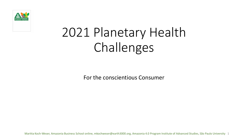

# 2021 Planetary Health Challenges

For the conscientious Consumer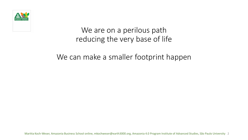

### We are on a perilous path reducing the very base of life

### We can make a smaller footprint happen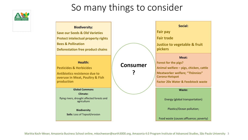

### So many things to consider

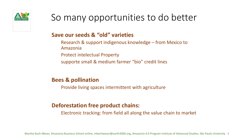

### **Save our seeds & "old" varieties**

- Research & support indigenous knowledge from Mexico to Amazonia
- Protect intelectual Property
- supporte small & medium farmer "bio" credit lines

### **Bees & pollination**

Provide living spaces intermittent with agriculture

### **Deforestation free product chains:**

Electronic tracking: from field all along the value chain to market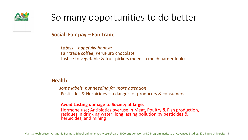

### **Social: Fair pay – Fair trade**

*Labels – hopefully honest:*  Fair trade coffee, PeruPuro chocolate Justice to vegetable & fruit pickers (needs a much harder look)

### **Health**

*some labels, but needing far more attention* Pesticides & Herbicides – a danger for producers & consumers

#### **Avoid Lasting damage to Society at large**:

Hormone use; Antibiotics overuse in Meat, Poultry & Fish production, residues in drinking water; long lasting pollution by pesticides & herbicides, and mining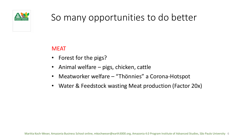

### MEAT

- Forest for the pigs?
- Animal welfare pigs, chicken, cattle
- Meatworker welfare "Thönnies" a Corona-Hotspot
- Water & Feedstock wasting Meat production (Factor 20x)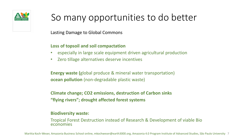

Lasting Damage to Global Commons

#### **Loss of topsoil and soil compactation**

- especially in large scale equipment driven agricultural production
- Zero tillage alternatives deserve incentives

**Energy waste (**global produce & mineral water transportation) **ocean pollution** (non-degradable plastic waste)

**Climate change; CO2 emissions, destruction of Carbon sinks "flying rivers"; drought affected forest systems**

#### **Biodiversity waste:**

Tropical Forest Destruction instead of Research & Development of viable Bio economies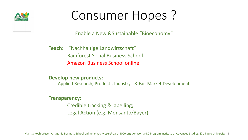

# Consumer Hopes ?

Enable a New &Sustainable "Bioeconomy"

**Teach:** "Nachhaltige Landwirtschaft" Rainforest Social Business School Amazon Business School online

#### **Develop new products:**

Applied Research, Product-, Industry - & Fair Market Development

**Transparency:**

Credible tracking & labelling; Legal Action (e.g. Monsanto/Bayer)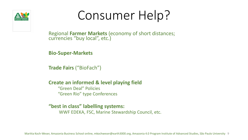

# Consumer Help?

Regional **Farmer Markets** (economy of short distances; currencies "buy local", etc.)

**Bio-Super-Markets**

**Trade Fairs** ("BioFach")

### **Create an informed & level playíng field**

"Green Deal" Policies "Green Rio" type Conferences

#### **"best in class" labelling systems:**

WWF EDEKA, FSC, Marine Stewardship Council, etc.